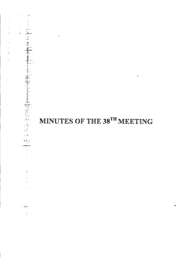# MINUTES OF THE 38TH MEETING

 $\ddot{\mathbf{x}}$ 

 $2\%$  .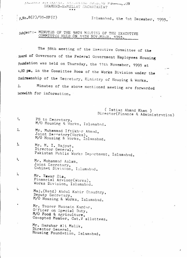ANDIANA COVANATION SALE INTERVIEWS TO JULY OF MARINE AON SHAHEED-E-MILLAT SECRETARIAT

 $R.No.8(2)/93-HF(C)$ 

Islamabad, the 1st December, 1993.

## subject:- MINUTES OF THE 38TH MEETING OF THE EXECUTIVE COMMITTEE HELD ON 11TH NOVEMBER, 1993.

The 38th meeting of the Executive Committee of the Roard of Governors of the Federal Government Employees Housing Foundation was held on Thursday, the 11th November, 1993 at 4.00 pm, in the Committee Room of the Works Division under the Chairmanship of the Secretary, Ministry of Housing & Works. Minutes of the above mentioned meeting are forwarded  $2.$ herewith for information.

( Imtiaz Ahmad Khan )

Director(Finance & Administration)

PS to Secretary,  $1.$ M/O Housing & Works, Islamabad.

 $2.$ Mr. Muhammad Iftikhar Ahmad, Joint Secretary (Works), M/O Housing & Works, Islamabad.

3. Mr. M. I. Rajput, Director General, Pakistan Public Works Department, Islamabad.

4. Mr. Mohammad Aslam, Joint Secretary, Cabinet Division, Islamabad.

 $\lambda$ Mr. Yawar Zia, Financial Advisor(Works), Works Division, Islamabad.

 $\mathbf{I}_\bullet$ 

Maj. (Retd) Abdul Kabir Chaudhry, Deputy Secretary, M/O Housing & Works, Islamabad.

Mr. Taseer Hussain Kardar, Officer on Special Duty, M/O Food & Agriculture, Co-opted Member, Cat.V allottees.

Mr. Sarshar Ali Malik, Director General, Housing Foundation, Islamabad.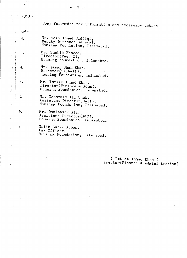#### $-: 2: -$

 $N.0.0$ .

to:-

1.

~.

4.

 $5.$ 

 $2.$ 

/'

Copy forwarded for information and necessary action

 $\mathbb{Z}^2$ 医大脑下皮瘤 化

7.

BRS 3

Mr. Moin Ahmed Siddiqi, Deputy Director General, Housing Foundation, Islamabad.

Mr. Shahid Hameed, Director(Tech-I), Housing Foundation, Islamabad.

Mr. Qamar Shah Khan, Director(Tech-II), Housing Foundation, Islamabad.

Mr. Imtiaz Ahmad Khan, Director(Finance & Admn), Housing Foundation, Islamabad.

Mr. Mohammad Ali Shah, Assistant Director(E-II), Housing Foundation, Islamabad.

6. Mr. Danishyar Ali, Assistant Director(A&C), Housing Foundation, Islamabad.

Malik Zafar Abbas, Law Officer, Housing Foundation, Islamabad.

> ( Imtiaz Ahmad Khan ) Director(Finance & Administration)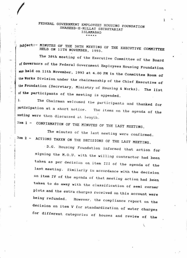### FEDERAL *GOVERNMENT* EMPLOYEES HOUSING FOUNDATION SHAHEED-E-MILLAT SECRETARIAT ISLAMABAD \* \* \* \* \*

(Color)

~

 $\frac{1}{\sqrt{2}}$ 

 $\frac{1}{\pi}$ 

را: السكة عكس<br>ال

 $\overline{\phantom{a}}$ 

## ~,~subject:- MINUTES OF THE 38TH MEETING OF THE *EXECUTIVE* COMMITTEE HELD ON 11TH NOVEMBER, 1993.

The 38th meeting of the Executive Committee of the Board of Governors of the Federal Government Employees Housing Foundation was held on 11th November, 1993 at 4.00 PM in the Committee Room of the Works Division under the chairmanship of the Chief Executive of the Foundation (Secretary, Ministry of Housing & Works). The list of the participants of the meeting is appended.

The items on the agenda of the The Chairman welcomed the participants and thanked for  $2<sub>1</sub>$ participation at a short notice. meeting were then discussed at length.

Item 1 - CONFIRMATION OF THE MINUTES OF THE LAST MEETING.

The minutes of the last meeting were confirmed. Item 2 - ACTIONS TAKEN ON THE DECISIONS OF THE LAST MEETING.

D.G. Housing Foundation informed that action for signing the M.O.U. with the willing contractor had been taken as per decision on item III of the agenda of the last meeting. Similarly in accordance with the decision on item IV of the agenda of that meeting action had been taken to do away with the classification of semi corner plots and the extra charges received on this account were *being* refunded. However, the compliance report on the decision on item V for standardization of water charges for different categories of houses and review of the

\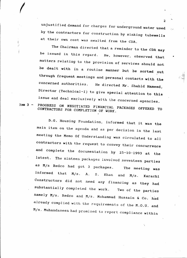unjus-tified demand for charges for underground water used by the contractors for construction by sinking tubewells at their own cost was awaited from the CDA.

The Chairman directed that a reminder to the CDA may be issued in this regard. He, however, observed that matters relating to the provision of services should not be dealt with in a routine manner but be sorted out through frequent meetings and personal contacts with the concerned authorities. He directed Mr. Shahid Hameed, Director (Technical-I) to give special attention to this issue and deal exclusively with lhe concerned agencies.

*I*

Item 3 - PROGRESS ON NEGOTIATED FINANCIAL PACKAGES OFFERED TO CONTRACTORS FOR COMPLETION OF WORK.

D.G. Housing Foundation, informed that it was the main item on the agenda and as per decision in the last meeting the Memo Of Understanding was circulated to all contractors with the request to convey their concurrence and complete the documentation by 25-10-1993 at the latest. The ninteen packages involved seventeen parties as M/s Redco had got 3 packages. The meeting was informed that *M/s*. A. S. Khan and *M/s*. Karachi Constructors did not need any financing as they had substantially completed the work. Two of the parties namely M/s. Redco and M/s. Mohammad Hussain & Co. had already complied with the requirements of the M.O.U. and  $M/s$ . Muhandaseen had promised to report compliance within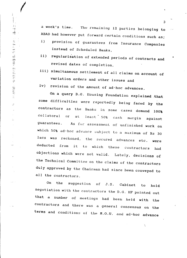a week's time. The remaining 12 parties belonging to ABAD had however put forward certain conditions such as;

- i) provision of guarantees from Insurance Companies instead of Scheduled Banks,
- ii) regularisation of extended periods of contracts and revised dates of completion,
- iii) simultaneous settlement of all claims on account of variation orders and other issues and

iv) revision of the amount of ad-hoc advances.

On a query D.G. Housing Foundation explained that some difficulties were reportedly being faced by the contractors as the Banks in Some cases demand 100% collatoral or at least 50% cash margin against guarantees. As fur assessment of unfinished work on which 50% ad-hoc advance subject to a maximum of Rs 30 lacs was reckoned, the secured advances etc. deducted from it to which these contractors were had objections which were not valid. Lately, decisions of the Technical Committee on the claims of the contractors duly approved by the Chairman had since been conveyed to all the contractors.

On the suggestion of J.S. Cabinet to hold negotiation with the contractors the D.G. HF pointed out that a number of meetings had been held with the contractors and there was a general consensus on the terms and conditions of the M.O.U. and ad-hoc advance

**(C)** 

3

•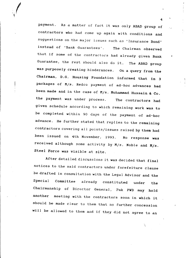payment. As a matter of fact it was only ABAD group of contractors who had come up again with conditions and suggestions on the major issues such as 'Insurance Bond' instead of 'Bank Guarantees'. The Chairman observed that if some of the contractors had already given Bank Guarantee, the rest should also do it. The ABAD group was purposely creating hinderances. On a query from the Chairman, D.G. Housing Foundation informed that in 3 packages of M/s. Redco payment of ad-hoc advances had been made and in the case of M/s. Mohammad Hussain & Co. the payment was under process. The contractors had given schedule according to which remaining work was to be completed within 90 days of the payment of ad-hoc advance. He further stated that replies to the remaining contractors covering all points/issues raised by them had been issued on 4th November, 1993. No response was received although some activity by  $M/s$ . Noble and  $M/s$ . steel Force was visible at site.

./

After detailed discussions it was decided that final notices to the said contractors under forefeiture clause be drafted in consultation with the Legal Advisor and the Special Committee already constituted under the Chairmanship of Director General, Pak PWD may hold another meeting with the contractors soon in which it should be made clear to them that no further concession will be allowed to them and if they did not agree to an

> , ,

 $\sim$  4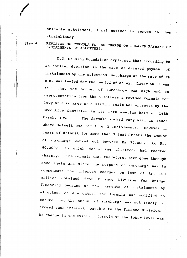amicable settlement, final notices be served on them straightaway.

Item 4 REVISION OF FORMULA FOR SURCHARGE ON DELAYED PAYMENT OF INSTALMENTS BY ALLOTTEES.

*I*

Žъ

三羽步

D.G. Housing Foundation explained that according to an earlier decision in the case of delayed payment of instalments by the allottees, surcharge at the rate of 1% p.m. was levied for the period of delay. Later on it was felt that the amount of surcharge was high and on representation from the allottees a revised formula for levy of surcharge on a sliding scale was approved by the Executive Committee in its 35th meeting held on 14th March, 1993. The formuia worked *very* well in cases where default was for 1 or 2 instalments. However in cases of default for more than 3 instalments the amount of surcharge worked out between Rs 70,000/- to Rs. 80,000/- to which defaulting allottees had reacted sharply. The formula had, therefore, been *gone* through once again and since the purpose of surcharge was to compensate the interest charges on loan of Rs. 100 million obtained from Finance Division for bridge financing because of non payments of instalments by allottees on due dates, the formula was modified to ensure that the amount of surcharge was not Iikely to exceed such interest, payable to the Finance Divisiop. No change in the existing formula at the lower level was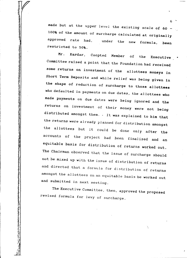made but at the upper level the existing scale of 60 -100% of the amount of surcharge calculated at originally approved rate had, restricted to 50%. under the new formula, been

 $6$  .

•

distributed amongst them. . It was explained to him that the allottees but it could be done only after the who defaulted in payments on due dates, the allottees who Member of the Executive Mr. Kardar, Coopted returns on investment of their money were not being made payments on due dates were *being* ignored and the Committee raised a point that the Foundation had received Short Term Deposits and while relief was being given in the shape of reduction of surcharge to those allottees some returns on investment of the allottees moneys in the returns were already planned for distribution amongst accounts of the project had been finalised and an equitable basis for distribution of returns worked out. The Chairman observed that the issue of surcharge should not be mixed up with the issue of distribution of returns and directed that a formula for distribution of returns amongst the al10ttees on an equitable basis be worked out and submitted in next meeting.

The Executive Committee, then, approved the proposed revised formula for levy of surcharge.

中国美国国家的 医心理 医神经性的 网络爱

 $\ddot{\phantom{0}}$ ,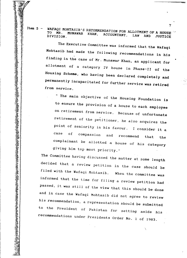Item 5 - WAFAQI MOHTASIB'S RECOMMENDATION FOR ALLOTMENT OF A HOUSE ... TO MR. MUNAWAR KHAN, ACCOUNTANT, LAW AND JUSTIC.

7

•

'-

The Executive Committee was informed that the Wafaqi Mohtasib had made the following recommendations in his finding in the case of Mr. Munawar Khan, an applicant for allotment of a category IV house in Phase-II of the Housing Scheme, who having been declared completely and permanently incapacitated for further service was retired from service.

that the I consider it a and recommend of compassion point of seniority in his favour. case on retirement from service. Because of unfortunate " The main objective of the Housing Foundation is to ensure the provision of a house to each employee retirement of the petitioner, he also acquires the comprainant be allotted a house of his category *giving* him top most priority."

The Committee having discussed the matter at some length decided that a review petition in the case should be passed, it was still of the view that this should be done informed that the time for filing a review petition had filed with the Wafaqi Mohtasib. When the committee was and in case the Wafaqi Mohtasib did not *agree* to review his recommendation, a representation should be submitted to the President of Pakistan for setting aside his recommendations under Presidents Order No. 1 of 1983.

> $\ddot{\phantom{0}}$ ,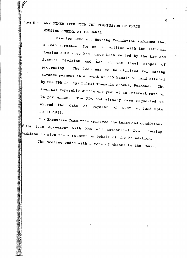Item 6 - ANY OTHER ITEM WITH THE PERMISSION OF CHAIR HOUSING SCHEnE AT PESHAWAR

> Director General, Housing Foundation informed that a loan agreement *for* Rs. 25 million with the National Housing Authority had 5ince been vetted *by* the Law and Justice Division and was in the final stages of processing. The loan was to be utilised for making advance payment on account of 500 kanals of land offered by the PDA in *Regi* Lalmai Townwhip Scheme, Peshawar. The loan was repayable within one year at an interest rate of 7% per annum. The PDA had already been requested to extend the date of payment of cost of land upto 20-11-1993.

The Executive Committee approved the terms and conditions of the loan agreement with NHA and authorised D.G. Housing whundation to sign the agreement on behalf of the Foundation.

The meeting ended with a vote of thanks to the Chair.

*B*